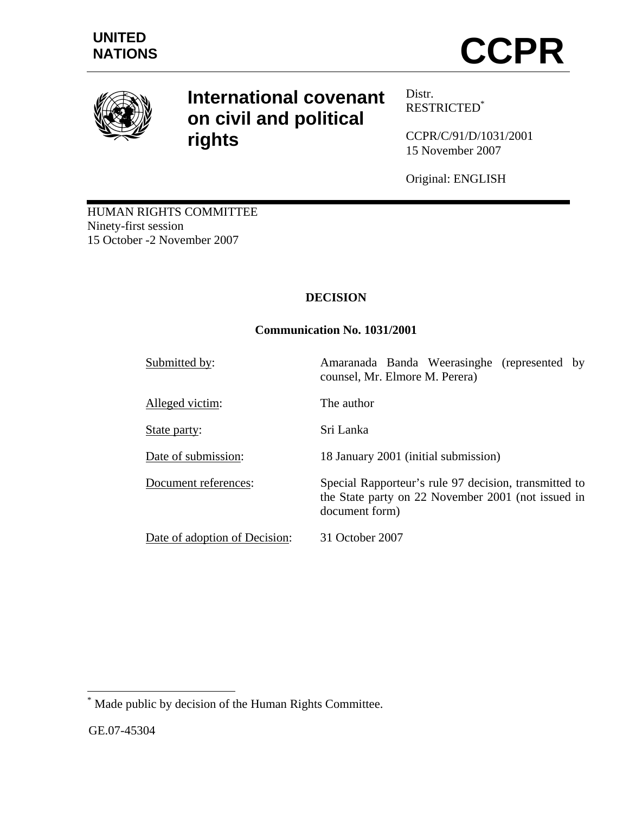

# **International covenant on civil and political rights**

Distr. RESTRICTED\*

CCPR/C/91/D/1031/2001 15 November 2007

Original: ENGLISH

HUMAN RIGHTS COMMITTEE Ninety-first session 15 October -2 November 2007

# **DECISION**

# **Communication No. 1031/2001**

| Submitted by:                 | Amaranada Banda Weerasinghe (represented by<br>counsel, Mr. Elmore M. Perera)                                                 |
|-------------------------------|-------------------------------------------------------------------------------------------------------------------------------|
| Alleged victim:               | The author                                                                                                                    |
| State party:                  | Sri Lanka                                                                                                                     |
| Date of submission:           | 18 January 2001 (initial submission)                                                                                          |
| Document references:          | Special Rapporteur's rule 97 decision, transmitted to<br>the State party on 22 November 2001 (not issued in<br>document form) |
| Date of adoption of Decision: | 31 October 2007                                                                                                               |

 \* Made public by decision of the Human Rights Committee.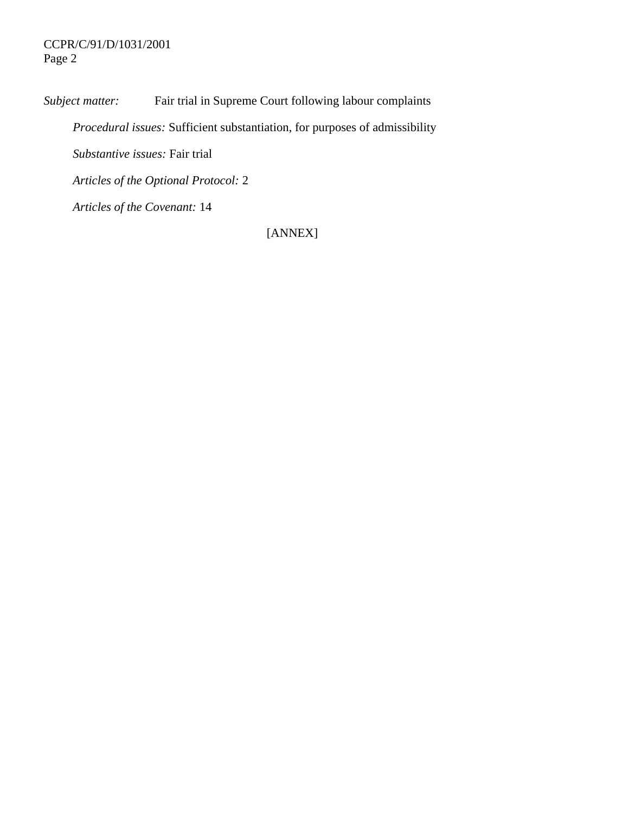# CCPR/C/91/D/1031/2001 Page 2

*Subject matter:* Fair trial in Supreme Court following labour complaints  *Procedural issues:* Sufficient substantiation, for purposes of admissibility  *Substantive issues:* Fair trial *Articles of the Optional Protocol:* 2

 *Articles of the Covenant:* 14

[ANNEX]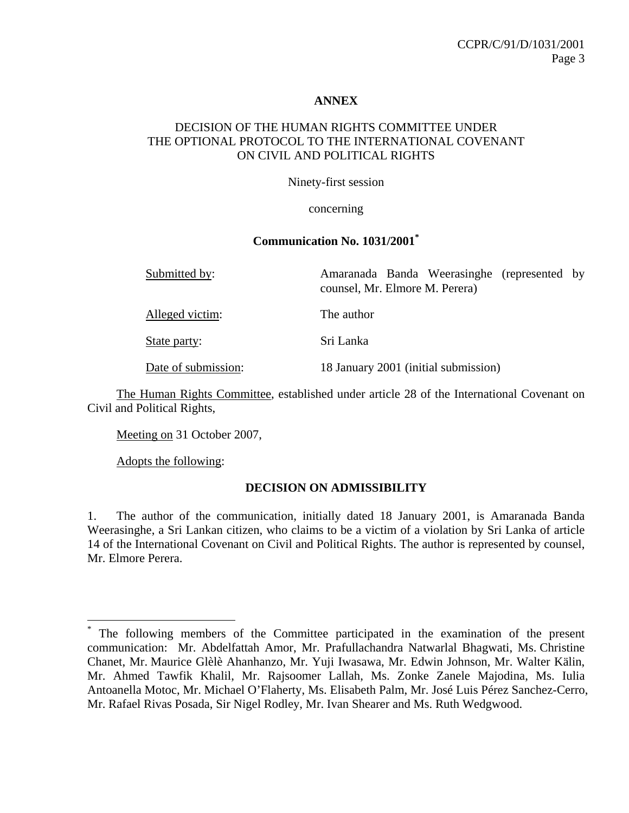## **ANNEX**

## DECISION OF THE HUMAN RIGHTS COMMITTEE UNDER THE OPTIONAL PROTOCOL TO THE INTERNATIONAL COVENANT ON CIVIL AND POLITICAL RIGHTS

Ninety-first session

concerning

#### **Communication No. 1031/2001\***

| Submitted by:       | Amaranada Banda Weerasinghe (represented by<br>counsel, Mr. Elmore M. Perera) |
|---------------------|-------------------------------------------------------------------------------|
| Alleged victim:     | The author                                                                    |
| State party:        | Sri Lanka                                                                     |
| Date of submission: | 18 January 2001 (initial submission)                                          |

 The Human Rights Committee, established under article 28 of the International Covenant on Civil and Political Rights,

Meeting on 31 October 2007,

Adopts the following:

1

#### **DECISION ON ADMISSIBILITY**

1. The author of the communication, initially dated 18 January 2001, is Amaranada Banda Weerasinghe, a Sri Lankan citizen, who claims to be a victim of a violation by Sri Lanka of article 14 of the International Covenant on Civil and Political Rights. The author is represented by counsel, Mr. Elmore Perera.

<sup>\*</sup> The following members of the Committee participated in the examination of the present communication: Mr. Abdelfattah Amor, Mr. Prafullachandra Natwarlal Bhagwati, Ms. Christine Chanet, Mr. Maurice Glèlè Ahanhanzo, Mr. Yuji Iwasawa, Mr. Edwin Johnson, Mr. Walter Kälin, Mr. Ahmed Tawfik Khalil, Mr. Rajsoomer Lallah, Ms. Zonke Zanele Majodina, Ms. Iulia Antoanella Motoc, Mr. Michael O'Flaherty, Ms. Elisabeth Palm, Mr. José Luis Pérez Sanchez-Cerro, Mr. Rafael Rivas Posada, Sir Nigel Rodley, Mr. Ivan Shearer and Ms. Ruth Wedgwood.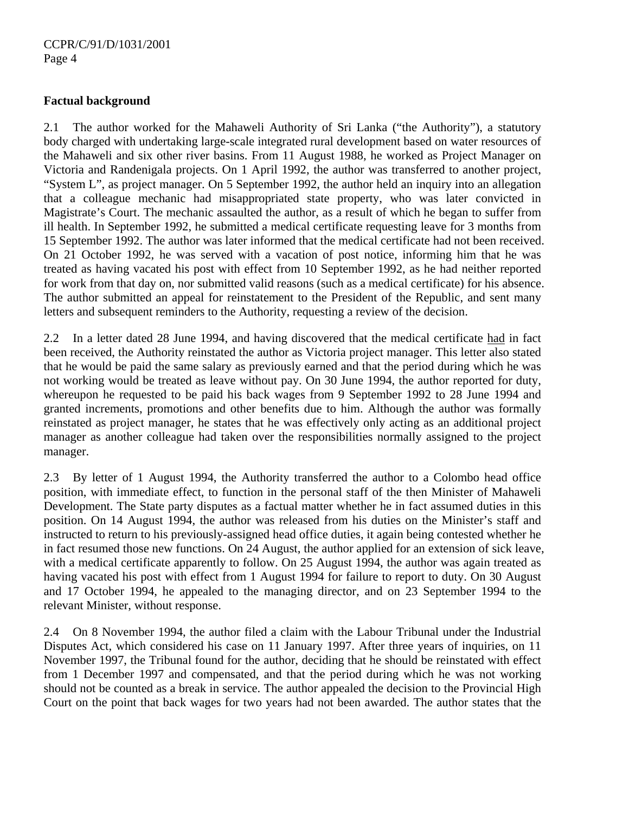## **Factual background**

2.1 The author worked for the Mahaweli Authority of Sri Lanka ("the Authority"), a statutory body charged with undertaking large-scale integrated rural development based on water resources of the Mahaweli and six other river basins. From 11 August 1988, he worked as Project Manager on Victoria and Randenigala projects. On 1 April 1992, the author was transferred to another project, "System L", as project manager. On 5 September 1992, the author held an inquiry into an allegation that a colleague mechanic had misappropriated state property, who was later convicted in Magistrate's Court. The mechanic assaulted the author, as a result of which he began to suffer from ill health. In September 1992, he submitted a medical certificate requesting leave for 3 months from 15 September 1992. The author was later informed that the medical certificate had not been received. On 21 October 1992, he was served with a vacation of post notice, informing him that he was treated as having vacated his post with effect from 10 September 1992, as he had neither reported for work from that day on, nor submitted valid reasons (such as a medical certificate) for his absence. The author submitted an appeal for reinstatement to the President of the Republic, and sent many letters and subsequent reminders to the Authority, requesting a review of the decision.

2.2 In a letter dated 28 June 1994, and having discovered that the medical certificate had in fact been received, the Authority reinstated the author as Victoria project manager. This letter also stated that he would be paid the same salary as previously earned and that the period during which he was not working would be treated as leave without pay. On 30 June 1994, the author reported for duty, whereupon he requested to be paid his back wages from 9 September 1992 to 28 June 1994 and granted increments, promotions and other benefits due to him. Although the author was formally reinstated as project manager, he states that he was effectively only acting as an additional project manager as another colleague had taken over the responsibilities normally assigned to the project manager.

2.3 By letter of 1 August 1994, the Authority transferred the author to a Colombo head office position, with immediate effect, to function in the personal staff of the then Minister of Mahaweli Development. The State party disputes as a factual matter whether he in fact assumed duties in this position. On 14 August 1994, the author was released from his duties on the Minister's staff and instructed to return to his previously-assigned head office duties, it again being contested whether he in fact resumed those new functions. On 24 August, the author applied for an extension of sick leave, with a medical certificate apparently to follow. On 25 August 1994, the author was again treated as having vacated his post with effect from 1 August 1994 for failure to report to duty. On 30 August and 17 October 1994, he appealed to the managing director, and on 23 September 1994 to the relevant Minister, without response.

2.4 On 8 November 1994, the author filed a claim with the Labour Tribunal under the Industrial Disputes Act, which considered his case on 11 January 1997. After three years of inquiries, on 11 November 1997, the Tribunal found for the author, deciding that he should be reinstated with effect from 1 December 1997 and compensated, and that the period during which he was not working should not be counted as a break in service. The author appealed the decision to the Provincial High Court on the point that back wages for two years had not been awarded. The author states that the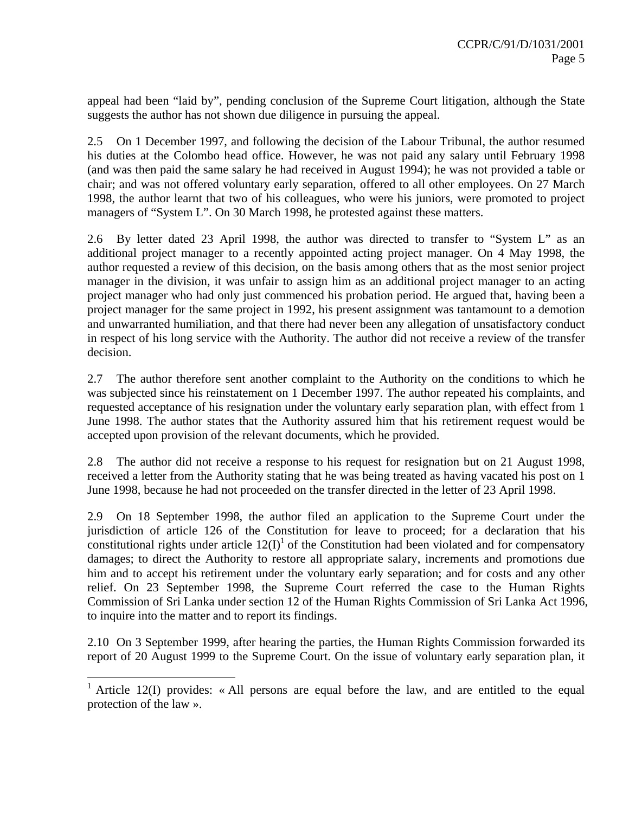appeal had been "laid by", pending conclusion of the Supreme Court litigation, although the State suggests the author has not shown due diligence in pursuing the appeal.

2.5 On 1 December 1997, and following the decision of the Labour Tribunal, the author resumed his duties at the Colombo head office. However, he was not paid any salary until February 1998 (and was then paid the same salary he had received in August 1994); he was not provided a table or chair; and was not offered voluntary early separation, offered to all other employees. On 27 March 1998, the author learnt that two of his colleagues, who were his juniors, were promoted to project managers of "System L". On 30 March 1998, he protested against these matters.

2.6 By letter dated 23 April 1998, the author was directed to transfer to "System L" as an additional project manager to a recently appointed acting project manager. On 4 May 1998, the author requested a review of this decision, on the basis among others that as the most senior project manager in the division, it was unfair to assign him as an additional project manager to an acting project manager who had only just commenced his probation period. He argued that, having been a project manager for the same project in 1992, his present assignment was tantamount to a demotion and unwarranted humiliation, and that there had never been any allegation of unsatisfactory conduct in respect of his long service with the Authority. The author did not receive a review of the transfer decision.

2.7 The author therefore sent another complaint to the Authority on the conditions to which he was subjected since his reinstatement on 1 December 1997. The author repeated his complaints, and requested acceptance of his resignation under the voluntary early separation plan, with effect from 1 June 1998. The author states that the Authority assured him that his retirement request would be accepted upon provision of the relevant documents, which he provided.

2.8 The author did not receive a response to his request for resignation but on 21 August 1998, received a letter from the Authority stating that he was being treated as having vacated his post on 1 June 1998, because he had not proceeded on the transfer directed in the letter of 23 April 1998.

2.9 On 18 September 1998, the author filed an application to the Supreme Court under the jurisdiction of article 126 of the Constitution for leave to proceed; for a declaration that his constitutional rights under article  $12(I)^1$  of the Constitution had been violated and for compensatory damages; to direct the Authority to restore all appropriate salary, increments and promotions due him and to accept his retirement under the voluntary early separation; and for costs and any other relief. On 23 September 1998, the Supreme Court referred the case to the Human Rights Commission of Sri Lanka under section 12 of the Human Rights Commission of Sri Lanka Act 1996, to inquire into the matter and to report its findings.

2.10 On 3 September 1999, after hearing the parties, the Human Rights Commission forwarded its report of 20 August 1999 to the Supreme Court. On the issue of voluntary early separation plan, it

1

<sup>1</sup> Article 12(I) provides: « All persons are equal before the law, and are entitled to the equal protection of the law ».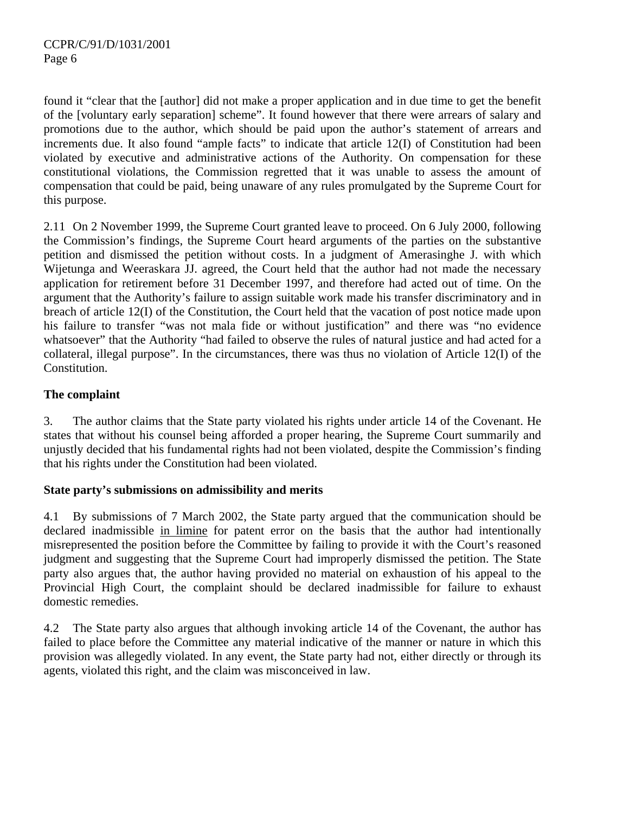found it "clear that the [author] did not make a proper application and in due time to get the benefit of the [voluntary early separation] scheme". It found however that there were arrears of salary and promotions due to the author, which should be paid upon the author's statement of arrears and increments due. It also found "ample facts" to indicate that article 12(I) of Constitution had been violated by executive and administrative actions of the Authority. On compensation for these constitutional violations, the Commission regretted that it was unable to assess the amount of compensation that could be paid, being unaware of any rules promulgated by the Supreme Court for this purpose.

2.11 On 2 November 1999, the Supreme Court granted leave to proceed. On 6 July 2000, following the Commission's findings, the Supreme Court heard arguments of the parties on the substantive petition and dismissed the petition without costs. In a judgment of Amerasinghe J. with which Wijetunga and Weeraskara JJ. agreed, the Court held that the author had not made the necessary application for retirement before 31 December 1997, and therefore had acted out of time. On the argument that the Authority's failure to assign suitable work made his transfer discriminatory and in breach of article 12(I) of the Constitution, the Court held that the vacation of post notice made upon his failure to transfer "was not mala fide or without justification" and there was "no evidence whatsoever" that the Authority "had failed to observe the rules of natural justice and had acted for a collateral, illegal purpose". In the circumstances, there was thus no violation of Article 12(I) of the Constitution.

# **The complaint**

3. The author claims that the State party violated his rights under article 14 of the Covenant. He states that without his counsel being afforded a proper hearing, the Supreme Court summarily and unjustly decided that his fundamental rights had not been violated, despite the Commission's finding that his rights under the Constitution had been violated.

# **State party's submissions on admissibility and merits**

4.1 By submissions of 7 March 2002, the State party argued that the communication should be declared inadmissible in limine for patent error on the basis that the author had intentionally misrepresented the position before the Committee by failing to provide it with the Court's reasoned judgment and suggesting that the Supreme Court had improperly dismissed the petition. The State party also argues that, the author having provided no material on exhaustion of his appeal to the Provincial High Court, the complaint should be declared inadmissible for failure to exhaust domestic remedies.

4.2 The State party also argues that although invoking article 14 of the Covenant, the author has failed to place before the Committee any material indicative of the manner or nature in which this provision was allegedly violated. In any event, the State party had not, either directly or through its agents, violated this right, and the claim was misconceived in law.